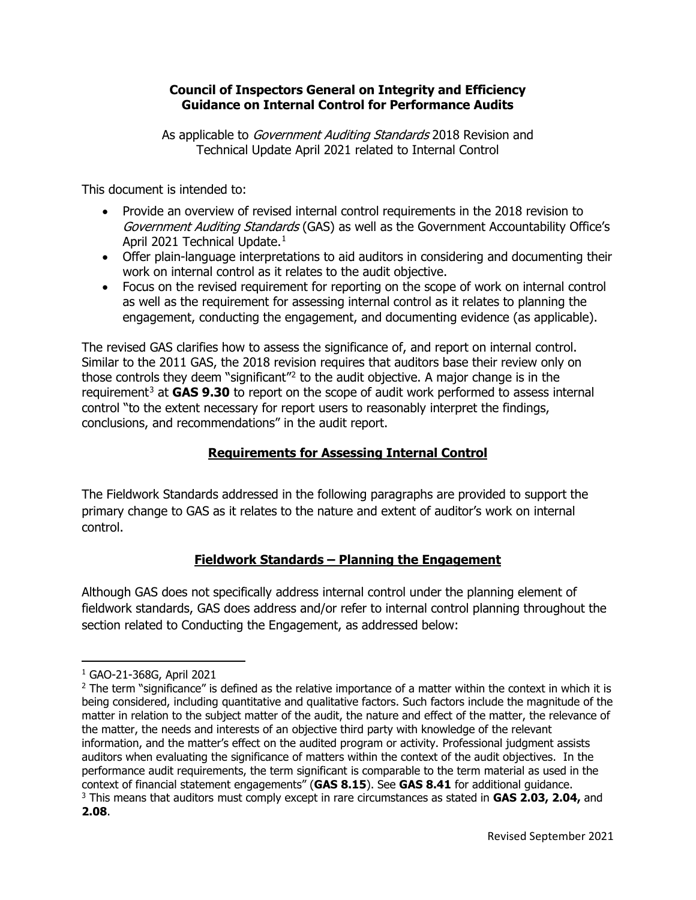### **Council of Inspectors General on Integrity and Efficiency Guidance on Internal Control for Performance Audits**

As applicable to *Government Auditing Standards* 2018 Revision and Technical Update April 2021 related to Internal Control

This document is intended to:

- Provide an overview of revised internal control requirements in the 2018 revision to Government Auditing Standards (GAS) as well as the Government Accountability Office's April 2021 Technical Update. [1](#page-0-0)
- Offer plain-language interpretations to aid auditors in considering and documenting their work on internal control as it relates to the audit objective.
- Focus on the revised requirement for reporting on the scope of work on internal control as well as the requirement for assessing internal control as it relates to planning the engagement, conducting the engagement, and documenting evidence (as applicable).

The revised GAS clarifies how to assess the significance of, and report on internal control. Similar to the 2011 GAS, the 2018 revision requires that auditors base their review only on those controls they deem "significant"[2](#page-0-1) to the audit objective. A major change is in the requirement<sup>[3](#page-0-2)</sup> at **GAS 9.30** to report on the scope of audit work performed to assess internal control "to the extent necessary for report users to reasonably interpret the findings, conclusions, and recommendations" in the audit report.

# **Requirements for Assessing Internal Control**

The Fieldwork Standards addressed in the following paragraphs are provided to support the primary change to GAS as it relates to the nature and extent of auditor's work on internal control.

# **Fieldwork Standards – Planning the Engagement**

Although GAS does not specifically address internal control under the planning element of fieldwork standards, GAS does address and/or refer to internal control planning throughout the section related to Conducting the Engagement, as addressed below:

<span id="page-0-0"></span><sup>1</sup> GAO-21-368G, April 2021

<span id="page-0-2"></span><span id="page-0-1"></span><sup>&</sup>lt;sup>2</sup> The term "significance" is defined as the relative importance of a matter within the context in which it is being considered, including quantitative and qualitative factors. Such factors include the magnitude of the matter in relation to the subject matter of the audit, the nature and effect of the matter, the relevance of the matter, the needs and interests of an objective third party with knowledge of the relevant information, and the matter's effect on the audited program or activity. Professional judgment assists auditors when evaluating the significance of matters within the context of the audit objectives. In the performance audit requirements, the term significant is comparable to the term material as used in the context of financial statement engagements" (**GAS 8.15**). See **GAS 8.41** for additional guidance. <sup>3</sup> This means that auditors must comply except in rare circumstances as stated in **GAS 2.03, 2.04,** and **2.08**.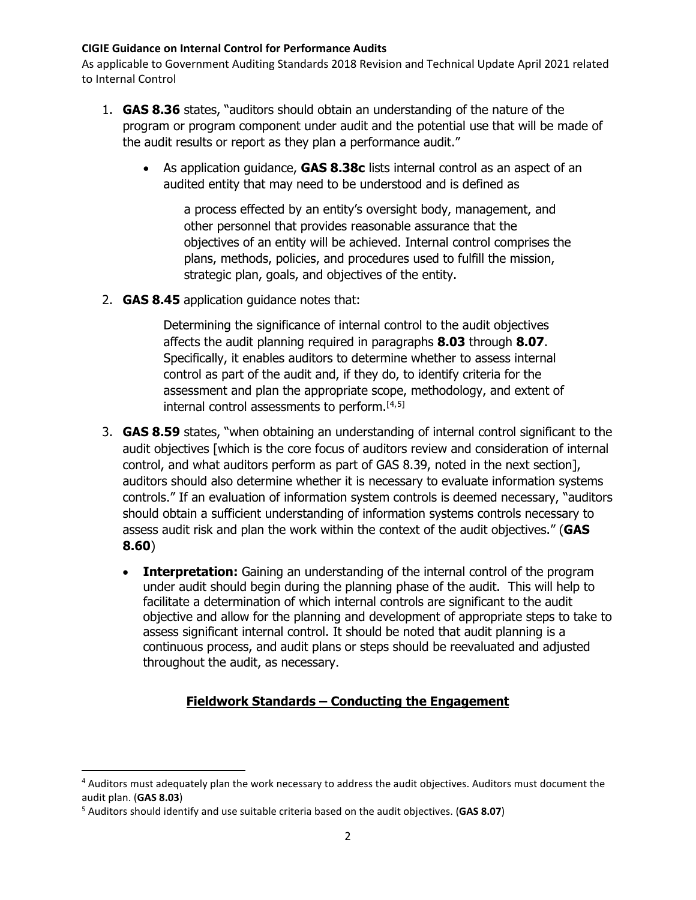As applicable to Government Auditing Standards 2018 Revision and Technical Update April 2021 related to Internal Control

- 1. **GAS 8.36** states, "auditors should obtain an understanding of the nature of the program or program component under audit and the potential use that will be made of the audit results or report as they plan a performance audit."
	- As application guidance, **GAS 8.38c** lists internal control as an aspect of an audited entity that may need to be understood and is defined as

a process effected by an entity's oversight body, management, and other personnel that provides reasonable assurance that the objectives of an entity will be achieved. Internal control comprises the plans, methods, policies, and procedures used to fulfill the mission, strategic plan, goals, and objectives of the entity.

2. **GAS 8.45** application guidance notes that:

Determining the significance of internal control to the audit objectives affects the audit planning required in paragraphs **8.03** through **8.07**. Specifically, it enables auditors to determine whether to assess internal control as part of the audit and, if they do, to identify criteria for the assessment and plan the appropriate scope, methodology, and extent of internal control assessments to perform.[[4](#page-1-0),[5](#page-1-1)]

- 3. **GAS 8.59** states, "when obtaining an understanding of internal control significant to the audit objectives [which is the core focus of auditors review and consideration of internal control, and what auditors perform as part of GAS 8.39, noted in the next section], auditors should also determine whether it is necessary to evaluate information systems controls." If an evaluation of information system controls is deemed necessary, "auditors should obtain a sufficient understanding of information systems controls necessary to assess audit risk and plan the work within the context of the audit objectives." (**GAS 8.60**)
	- **Interpretation:** Gaining an understanding of the internal control of the program under audit should begin during the planning phase of the audit. This will help to facilitate a determination of which internal controls are significant to the audit objective and allow for the planning and development of appropriate steps to take to assess significant internal control. It should be noted that audit planning is a continuous process, and audit plans or steps should be reevaluated and adjusted throughout the audit, as necessary.

# **Fieldwork Standards – Conducting the Engagement**

<span id="page-1-0"></span><sup>4</sup> Auditors must adequately plan the work necessary to address the audit objectives. Auditors must document the audit plan. (**GAS 8.03**)

<span id="page-1-1"></span><sup>5</sup> Auditors should identify and use suitable criteria based on the audit objectives. (**GAS 8.07**)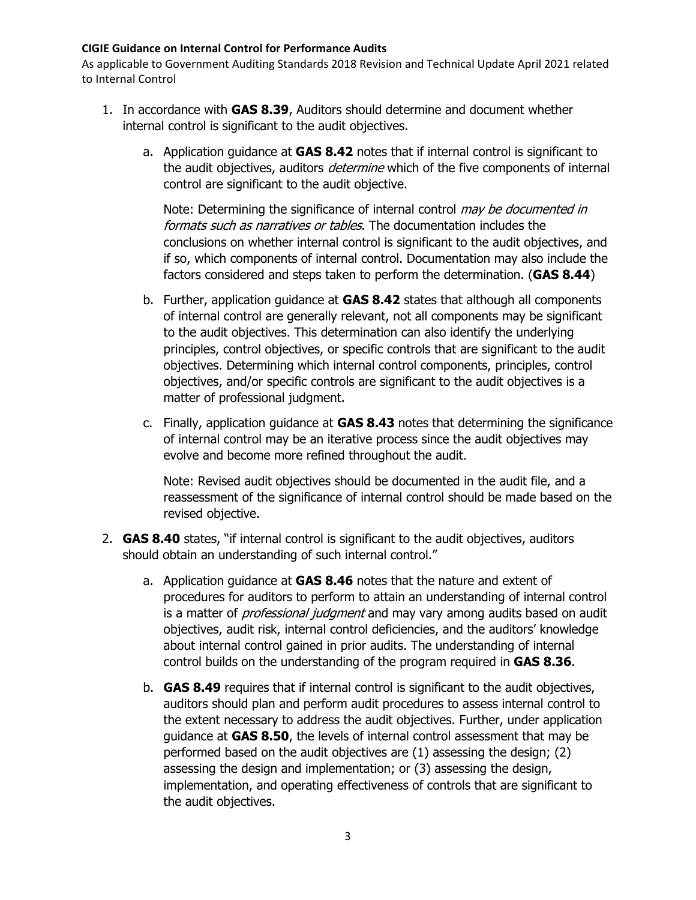As applicable to Government Auditing Standards 2018 Revision and Technical Update April 2021 related to Internal Control

- 1. In accordance with **GAS 8.39**, Auditors should determine and document whether internal control is significant to the audit objectives.
	- a. Application guidance at **GAS 8.42** notes that if internal control is significant to the audit objectives, auditors *determine* which of the five components of internal control are significant to the audit objective.

Note: Determining the significance of internal control *may be documented in* formats such as narratives or tables. The documentation includes the conclusions on whether internal control is significant to the audit objectives, and if so, which components of internal control. Documentation may also include the factors considered and steps taken to perform the determination. (**GAS 8.44**)

- b. Further, application guidance at **GAS 8.42** states that although all components of internal control are generally relevant, not all components may be significant to the audit objectives. This determination can also identify the underlying principles, control objectives, or specific controls that are significant to the audit objectives. Determining which internal control components, principles, control objectives, and/or specific controls are significant to the audit objectives is a matter of professional judgment.
- c. Finally, application guidance at **GAS 8.43** notes that determining the significance of internal control may be an iterative process since the audit objectives may evolve and become more refined throughout the audit.

Note: Revised audit objectives should be documented in the audit file, and a reassessment of the significance of internal control should be made based on the revised objective.

- 2. **GAS 8.40** states, "if internal control is significant to the audit objectives, auditors should obtain an understanding of such internal control."
	- a. Application guidance at **GAS 8.46** notes that the nature and extent of procedures for auditors to perform to attain an understanding of internal control is a matter of *professional judgment* and may vary among audits based on audit objectives, audit risk, internal control deficiencies, and the auditors' knowledge about internal control gained in prior audits. The understanding of internal control builds on the understanding of the program required in **GAS 8.36**.
	- b. **GAS 8.49** requires that if internal control is significant to the audit objectives, auditors should plan and perform audit procedures to assess internal control to the extent necessary to address the audit objectives. Further, under application guidance at **GAS 8.50**, the levels of internal control assessment that may be performed based on the audit objectives are (1) assessing the design; (2) assessing the design and implementation; or (3) assessing the design, implementation, and operating effectiveness of controls that are significant to the audit objectives.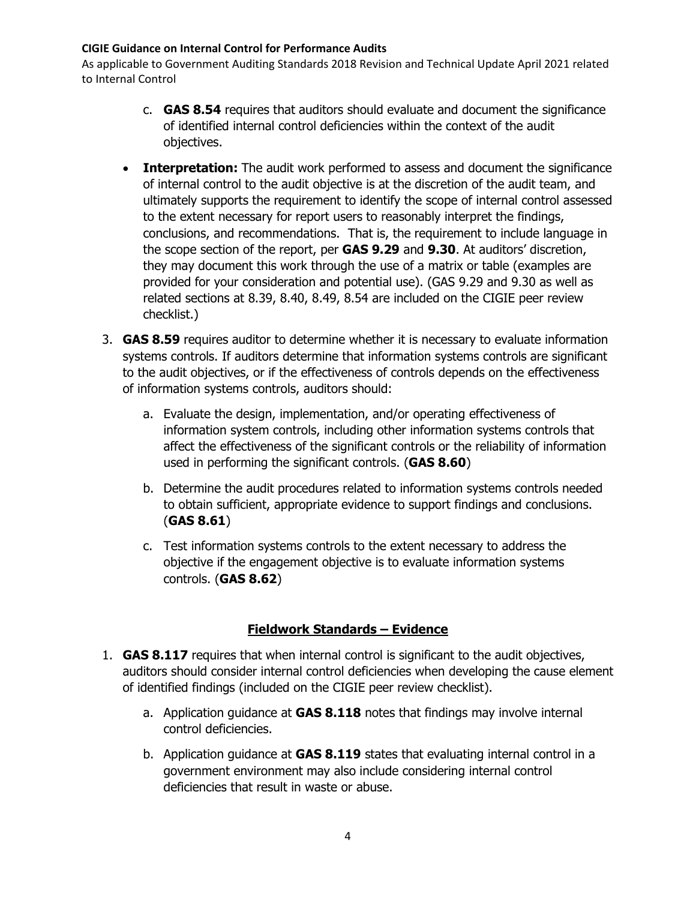As applicable to Government Auditing Standards 2018 Revision and Technical Update April 2021 related to Internal Control

- c. **GAS 8.54** requires that auditors should evaluate and document the significance of identified internal control deficiencies within the context of the audit objectives.
- **Interpretation:** The audit work performed to assess and document the significance of internal control to the audit objective is at the discretion of the audit team, and ultimately supports the requirement to identify the scope of internal control assessed to the extent necessary for report users to reasonably interpret the findings, conclusions, and recommendations. That is, the requirement to include language in the scope section of the report, per **GAS 9.29** and **9.30**. At auditors' discretion, they may document this work through the use of a matrix or table (examples are provided for your consideration and potential use). (GAS 9.29 and 9.30 as well as related sections at 8.39, 8.40, 8.49, 8.54 are included on the CIGIE peer review checklist.)
- 3. **GAS 8.59** requires auditor to determine whether it is necessary to evaluate information systems controls. If auditors determine that information systems controls are significant to the audit objectives, or if the effectiveness of controls depends on the effectiveness of information systems controls, auditors should:
	- a. Evaluate the design, implementation, and/or operating effectiveness of information system controls, including other information systems controls that affect the effectiveness of the significant controls or the reliability of information used in performing the significant controls. (**GAS 8.60**)
	- b. Determine the audit procedures related to information systems controls needed to obtain sufficient, appropriate evidence to support findings and conclusions. (**GAS 8.61**)
	- c. Test information systems controls to the extent necessary to address the objective if the engagement objective is to evaluate information systems controls. (**GAS 8.62**)

## **Fieldwork Standards – Evidence**

- 1. **GAS 8.117** requires that when internal control is significant to the audit objectives, auditors should consider internal control deficiencies when developing the cause element of identified findings (included on the CIGIE peer review checklist).
	- a. Application guidance at **GAS 8.118** notes that findings may involve internal control deficiencies.
	- b. Application guidance at **GAS 8.119** states that evaluating internal control in a government environment may also include considering internal control deficiencies that result in waste or abuse.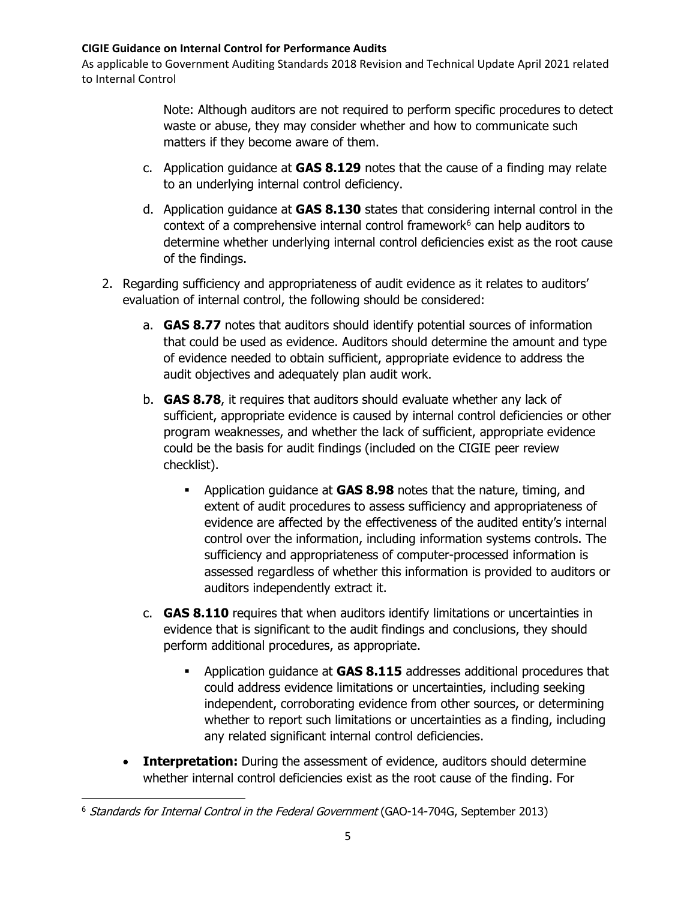As applicable to Government Auditing Standards 2018 Revision and Technical Update April 2021 related to Internal Control

> Note: Although auditors are not required to perform specific procedures to detect waste or abuse, they may consider whether and how to communicate such matters if they become aware of them.

- c. Application guidance at **GAS 8.129** notes that the cause of a finding may relate to an underlying internal control deficiency.
- d. Application guidance at **GAS 8.130** states that considering internal control in the context of a comprehensive internal control framework $6$  can help auditors to determine whether underlying internal control deficiencies exist as the root cause of the findings.
- 2. Regarding sufficiency and appropriateness of audit evidence as it relates to auditors' evaluation of internal control, the following should be considered:
	- a. **GAS 8.77** notes that auditors should identify potential sources of information that could be used as evidence. Auditors should determine the amount and type of evidence needed to obtain sufficient, appropriate evidence to address the audit objectives and adequately plan audit work.
	- b. **GAS 8.78**, it requires that auditors should evaluate whether any lack of sufficient, appropriate evidence is caused by internal control deficiencies or other program weaknesses, and whether the lack of sufficient, appropriate evidence could be the basis for audit findings (included on the CIGIE peer review checklist).
		- Application guidance at **GAS 8.98** notes that the nature, timing, and extent of audit procedures to assess sufficiency and appropriateness of evidence are affected by the effectiveness of the audited entity's internal control over the information, including information systems controls. The sufficiency and appropriateness of computer-processed information is assessed regardless of whether this information is provided to auditors or auditors independently extract it.
	- c. **GAS 8.110** requires that when auditors identify limitations or uncertainties in evidence that is significant to the audit findings and conclusions, they should perform additional procedures, as appropriate.
		- Application guidance at **GAS 8.115** addresses additional procedures that could address evidence limitations or uncertainties, including seeking independent, corroborating evidence from other sources, or determining whether to report such limitations or uncertainties as a finding, including any related significant internal control deficiencies.
	- **Interpretation:** During the assessment of evidence, auditors should determine whether internal control deficiencies exist as the root cause of the finding. For

<span id="page-4-0"></span><sup>&</sup>lt;sup>6</sup> Standards for Internal Control in the Federal Government (GAO-14-704G, September 2013)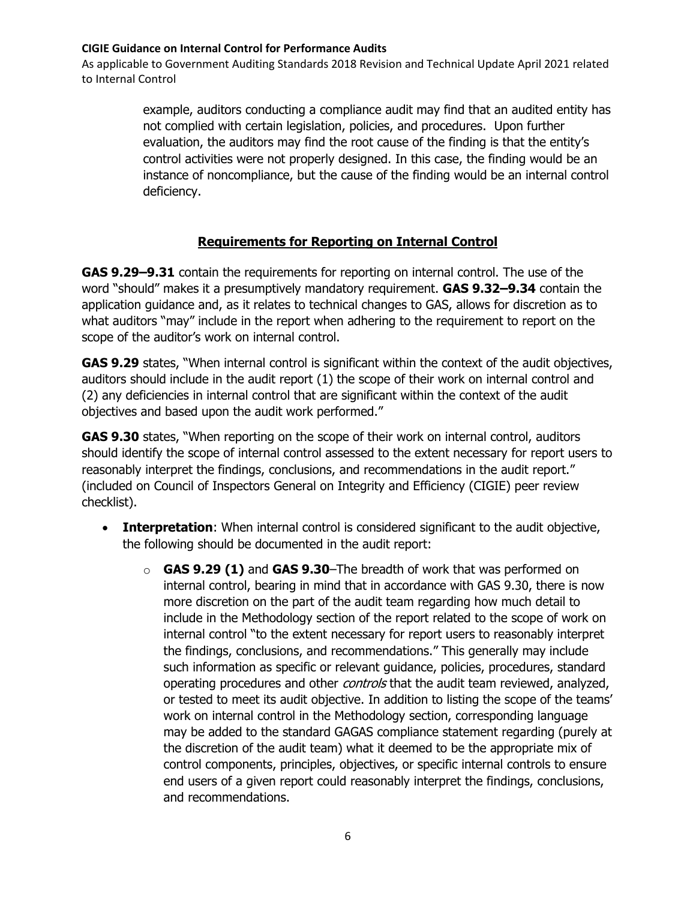As applicable to Government Auditing Standards 2018 Revision and Technical Update April 2021 related to Internal Control

> example, auditors conducting a compliance audit may find that an audited entity has not complied with certain legislation, policies, and procedures. Upon further evaluation, the auditors may find the root cause of the finding is that the entity's control activities were not properly designed. In this case, the finding would be an instance of noncompliance, but the cause of the finding would be an internal control deficiency.

## **Requirements for Reporting on Internal Control**

**GAS 9.29–9.31** contain the requirements for reporting on internal control. The use of the word "should" makes it a presumptively mandatory requirement. **GAS 9.32–9.34** contain the application guidance and, as it relates to technical changes to GAS, allows for discretion as to what auditors "may" include in the report when adhering to the requirement to report on the scope of the auditor's work on internal control.

**GAS 9.29** states, "When internal control is significant within the context of the audit objectives, auditors should include in the audit report (1) the scope of their work on internal control and (2) any deficiencies in internal control that are significant within the context of the audit objectives and based upon the audit work performed."

**GAS 9.30** states, "When reporting on the scope of their work on internal control, auditors should identify the scope of internal control assessed to the extent necessary for report users to reasonably interpret the findings, conclusions, and recommendations in the audit report." (included on Council of Inspectors General on Integrity and Efficiency (CIGIE) peer review checklist).

- **Interpretation**: When internal control is considered significant to the audit objective, the following should be documented in the audit report:
	- o **GAS 9.29 (1)** and **GAS 9.30**–The breadth of work that was performed on internal control, bearing in mind that in accordance with GAS 9.30, there is now more discretion on the part of the audit team regarding how much detail to include in the Methodology section of the report related to the scope of work on internal control "to the extent necessary for report users to reasonably interpret the findings, conclusions, and recommendations." This generally may include such information as specific or relevant guidance, policies, procedures, standard operating procedures and other *controls* that the audit team reviewed, analyzed, or tested to meet its audit objective. In addition to listing the scope of the teams' work on internal control in the Methodology section, corresponding language may be added to the standard GAGAS compliance statement regarding (purely at the discretion of the audit team) what it deemed to be the appropriate mix of control components, principles, objectives, or specific internal controls to ensure end users of a given report could reasonably interpret the findings, conclusions, and recommendations.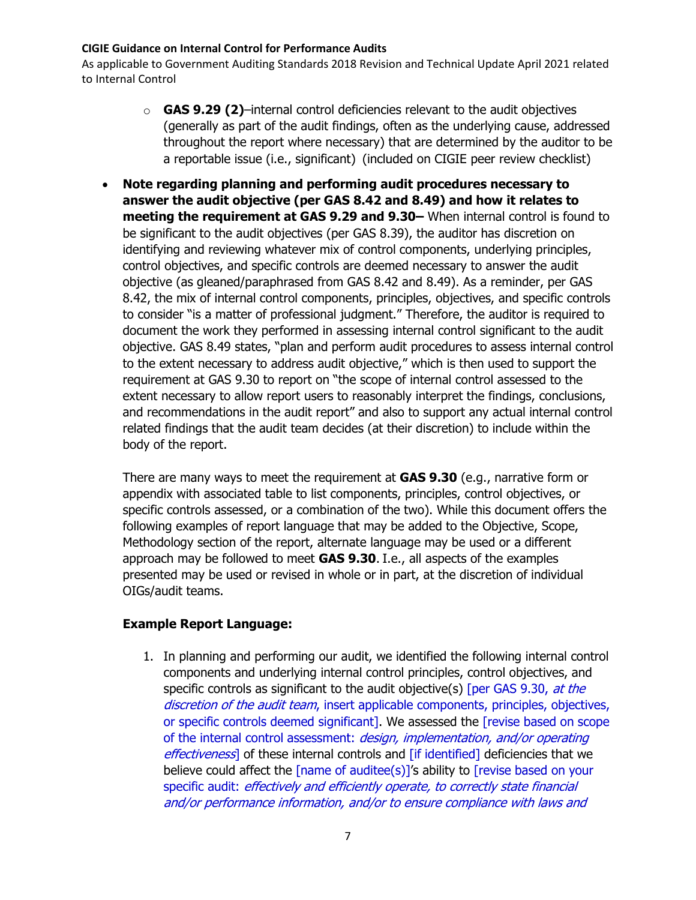As applicable to Government Auditing Standards 2018 Revision and Technical Update April 2021 related to Internal Control

- o **GAS 9.29 (2)**–internal control deficiencies relevant to the audit objectives (generally as part of the audit findings, often as the underlying cause, addressed throughout the report where necessary) that are determined by the auditor to be a reportable issue (i.e., significant) (included on CIGIE peer review checklist)
- **Note regarding planning and performing audit procedures necessary to answer the audit objective (per GAS 8.42 and 8.49) and how it relates to meeting the requirement at GAS 9.29 and 9.30–** When internal control is found to be significant to the audit objectives (per GAS 8.39), the auditor has discretion on identifying and reviewing whatever mix of control components, underlying principles, control objectives, and specific controls are deemed necessary to answer the audit objective (as gleaned/paraphrased from GAS 8.42 and 8.49). As a reminder, per GAS 8.42, the mix of internal control components, principles, objectives, and specific controls to consider "is a matter of professional judgment." Therefore, the auditor is required to document the work they performed in assessing internal control significant to the audit objective. GAS 8.49 states, "plan and perform audit procedures to assess internal control to the extent necessary to address audit objective," which is then used to support the requirement at GAS 9.30 to report on "the scope of internal control assessed to the extent necessary to allow report users to reasonably interpret the findings, conclusions, and recommendations in the audit report" and also to support any actual internal control related findings that the audit team decides (at their discretion) to include within the body of the report.

There are many ways to meet the requirement at **GAS 9.30** (e.g., narrative form or appendix with associated table to list components, principles, control objectives, or specific controls assessed, or a combination of the two). While this document offers the following examples of report language that may be added to the Objective, Scope, Methodology section of the report, alternate language may be used or a different approach may be followed to meet **GAS 9.30**. I.e., all aspects of the examples presented may be used or revised in whole or in part, at the discretion of individual OIGs/audit teams.

### **Example Report Language:**

1. In planning and performing our audit, we identified the following internal control components and underlying internal control principles, control objectives, and specific controls as significant to the audit objective(s) [per GAS 9.30, at the discretion of the audit team, insert applicable components, principles, objectives, or specific controls deemed significant]. We assessed the [revise based on scope of the internal control assessment: design, implementation, and/or operating effectiveness] of these internal controls and [if identified] deficiencies that we believe could affect the [name of auditee(s)]'s ability to [revise based on your specific audit: effectively and efficiently operate, to correctly state financial and/or performance information, and/or to ensure compliance with laws and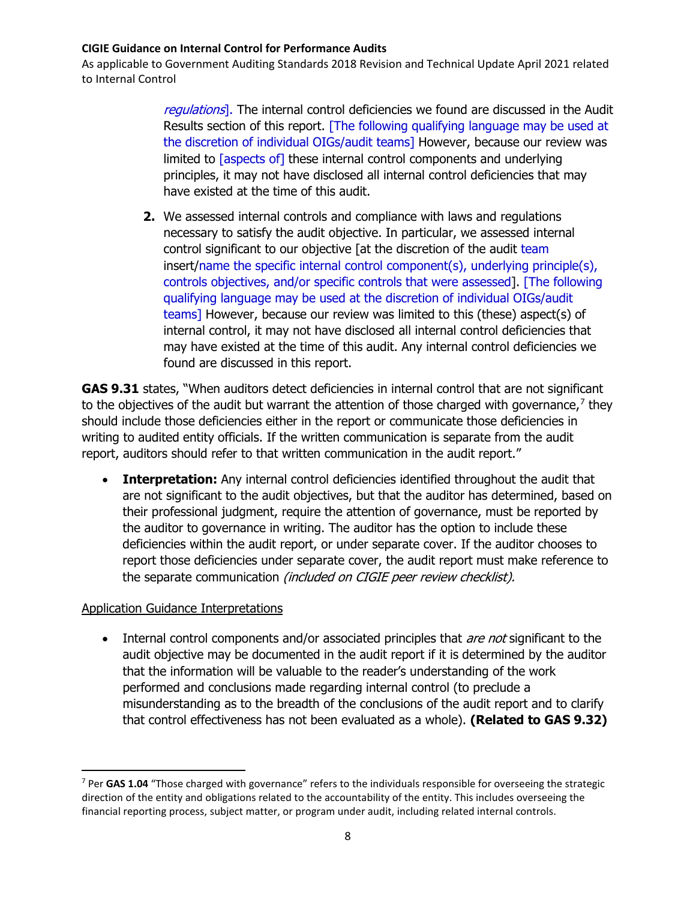As applicable to Government Auditing Standards 2018 Revision and Technical Update April 2021 related to Internal Control

> regulations]. The internal control deficiencies we found are discussed in the Audit Results section of this report. [The following qualifying language may be used at the discretion of individual OIGs/audit teams] However, because our review was limited to [aspects of] these internal control components and underlying principles, it may not have disclosed all internal control deficiencies that may have existed at the time of this audit.

**2.** We assessed internal controls and compliance with laws and regulations necessary to satisfy the audit objective. In particular, we assessed internal control significant to our objective [at the discretion of the audit team insert/name the specific internal control component(s), underlying principle(s), controls objectives, and/or specific controls that were assessed]. [The following qualifying language may be used at the discretion of individual OIGs/audit teams] However, because our review was limited to this (these) aspect(s) of internal control, it may not have disclosed all internal control deficiencies that may have existed at the time of this audit. Any internal control deficiencies we found are discussed in this report.

**GAS 9.31** states, "When auditors detect deficiencies in internal control that are not significant to the objectives of the audit but warrant the attention of those charged with governance, $\frac{7}{7}$  $\frac{7}{7}$  $\frac{7}{7}$  they should include those deficiencies either in the report or communicate those deficiencies in writing to audited entity officials. If the written communication is separate from the audit report, auditors should refer to that written communication in the audit report."

• **Interpretation:** Any internal control deficiencies identified throughout the audit that are not significant to the audit objectives, but that the auditor has determined, based on their professional judgment, require the attention of governance, must be reported by the auditor to governance in writing. The auditor has the option to include these deficiencies within the audit report, or under separate cover. If the auditor chooses to report those deficiencies under separate cover, the audit report must make reference to the separate communication (included on CIGIE peer review checklist).

## Application Guidance Interpretations

• Internal control components and/or associated principles that *are not* significant to the audit objective may be documented in the audit report if it is determined by the auditor that the information will be valuable to the reader's understanding of the work performed and conclusions made regarding internal control (to preclude a misunderstanding as to the breadth of the conclusions of the audit report and to clarify that control effectiveness has not been evaluated as a whole). **(Related to GAS 9.32)**

<span id="page-7-0"></span><sup>7</sup> Per **GAS 1.04** "Those charged with governance" refers to the individuals responsible for overseeing the strategic direction of the entity and obligations related to the accountability of the entity. This includes overseeing the financial reporting process, subject matter, or program under audit, including related internal controls.